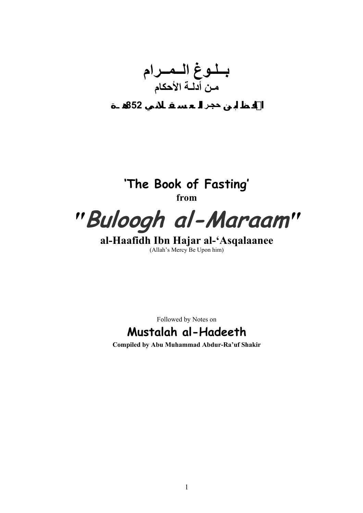**بــلـوغ الــمــرام مـن أدلـة الأحكام الحافـظ ابـن حجـر الـعـسـقـلانـي 852هـ**



**al-Haafidh Ibn Hajar al-'Asqalaanee**  (Allah's Mercy Be Upon him)

Followed by Notes on

# **Mustalah al-Hadeeth**

**Compiled by Abu Muhammad Abdur-Ra'uf Shakir**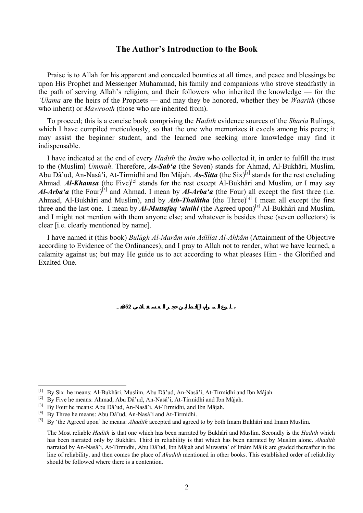### **The Author's Introduction to the Book**

Praise is to Allah for his apparent and concealed bounties at all times, and peace and blessings be upon His Prophet and Messenger Muhammad, his family and companions who strove steadfastly in the path of serving Allah's religion, and their followers who inherited the knowledge — for the *'Ulama* are the heirs of the Prophets — and may they be honored, whether they be *Waarith* (those who inherit) or *Mawrooth* (those who are inherited from).

To proceed; this is a concise book comprising the *Hadith* evidence sources of the *Sharia* Rulings, which I have compiled meticulously, so that the one who memorizes it excels among his peers; it may assist the beginner student, and the learned one seeking more knowledge may find it indispensable.

I have indicated at the end of every *Hadith* the *Imâm* who collected it, in order to fulfill the trust to the (Muslim) *Ummah*. Therefore, *As-Sab'a* (the Seven) stands for Ahmad, Al-Bukhâri, Muslim, Abu Dâ'ud, An-Nasâ'i, At-Tirmidhi and Ibn Mâjah. As-Sitta (the Six)<sup>[\[1\]](#page-1-0)</sup> stands for the rest excluding Ahmad. *Al-Khamsa* (the Five)<sup>[[2\]](#page-1-1)</sup> stands for the rest except Al-Bukhâri and Muslim, or I may say *Al-Arba'a* (the Four)<sup>[[3\]](#page-1-2)</sup> and Ahmad. I mean by *Al-Arba'a* (the Four) all except the first three (i.e. Ahmad, Al-Bukhâri and Muslim), and by *Ath-Thalâtha* (the Three)<sup>[[4\]](#page-1-3)</sup> I mean all except the first three and the last one. I mean by *Al-Muttafaq 'alaihi* (the Agreed upon)<sup>[\[5\]](#page-1-4)</sup> Al-Bukhâri and Muslim, and I might not mention with them anyone else; and whatever is besides these (seven collectors) is clear [i.e. clearly mentioned by name].

I have named it (this book) *Bulûgh Al-Marâm min Adillat Al-Ahkâm* (Attainment of the Objective according to Evidence of the Ordinances); and I pray to Allah not to render, what we have learned, a calamity against us; but may He guide us to act according to what pleases Him - the Glorified and Exalted One.

**بـلـوغ الـمـرام، الحافـظ ابـن جـر الـعـسـقـلانـي 852هـ**

 $\overline{a}$ 

<span id="page-1-0"></span><sup>[1]</sup> By Six he means: Al-Bukhâri, Muslim, Abu Dâ'ud, An-Nasâ'i, At-Tirmidhi and Ibn Mâjah.

<span id="page-1-1"></span><sup>[2]</sup> By Five he means: Ahmad, Abu Dâ'ud, An-Nasâ'i, At-Tirmidhi and Ibn Mâjah.

<span id="page-1-2"></span><sup>&</sup>lt;sup>[3]</sup> By Four he means: Abu Dâ'ud, An-Nasâ'i, At-Tirmidhi, and Ibn Mâjah.

<span id="page-1-4"></span>

<span id="page-1-3"></span><sup>[4]</sup> By Three he means: Abu Dâ'ud, An-Nasâ'i and At-Tirmidhi. [5] By 'the Agreed upon' he means: *Ahadith* accepted and agreed to by both Imam Bukhâri and Imam Muslim.

The Most reliable *Hadith* is that one which has been narrated by Bukhâri and Muslim. Secondly is the *Hadith* which has been narrated only by Bukhâri. Third in reliability is that which has been narrated by Muslim alone. *Ahadith* narrated by An-Nasâ'i, At-Tirmidhi, Abu Dâ'ud, Ibn Mâjah and Muwatta' of Imâm Mâlik are graded thereafter in the line of reliability, and then comes the place of *Ahadith* mentioned in other books. This established order of reliability should be followed where there is a contention.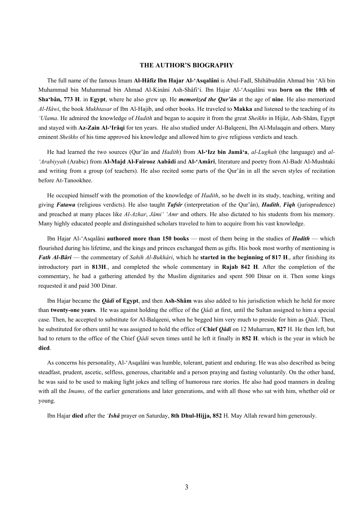#### **THE AUTHOR'S BIOGRAPHY**

The full name of the famous Imam **Al-Hâfiz Ibn Hajar Al-'Asqalâni** is Abul-Fadl, Shihâbuddin Ahmad bin 'Ali bin Muhammad bin Muhammad bin Ahmad Al-Kinâni Ash-Shâfi'i. Ibn Hajar Al-'Asqalâni was **born on the 10th of Sha'bân, 773 H**. in **Egypt**, where he also grew up. He *memorized the Qur'ân* at the age of **nine**. He also memorized *Al-Hâwi*, the book *Mukhtasar* of Ibn Al-Hajib, and other books. He traveled to **Makka** and listened to the teaching of its *'Ulama*. He admired the knowledge of *Hadith* and began to acquire it from the great *Sheikhs* in Hijâz, Ash-Shâm, Egypt and stayed with **Az-Zain Al-'Irâqi** for ten years. He also studied under Al-Balqeeni, Ibn Al-Mulaqqin and others. Many eminent *Sheikhs* of his time approved his knowledge and allowed him to give religious verdicts and teach.

He had learned the two sources (Qur'ân and *Hadith*) from **Al-'Izz bin Jamâ'a**, *al-Lughah* (the language) and *al- 'Arabiyyah* (Arabic) from **Al-Majd Al-Fairooz Aabâdi** and **Al-'Amâri**, literature and poetry from Al-Badr Al-Mushtaki and writing from a group (of teachers). He also recited some parts of the Qur'ân in all the seven styles of recitation before At-Tanookhee.

He occupied himself with the promotion of the knowledge of *Hadith*, so he dwelt in its study, teaching, writing and giving *Fatawa* (religious verdicts). He also taught *Tafsîr* (interpretation of the Qur'ân), *Hadith*, *Fiqh* (jurisprudence) and preached at many places like *Al-Azhar*, *Jâmi' 'Amr* and others. He also dictated to his students from his memory. Many highly educated people and distinguished scholars traveled to him to acquire from his vast knowledge.

Ibn Hajar Al-'Asqalâni **authored more than 150 books** — most of them being in the studies of *Hadith* — which flourished during his lifetime, and the kings and princes exchanged them as gifts. His book most worthy of mentioning is *Fath Al-Bâri* — the commentary of *Sahih Al-Bukhâri*, which he **started in the beginning of 817 H**., after finishing its introductory part in **813H**., and completed the whole commentary in **Rajab 842 H**. After the completion of the commentary, he had a gathering attended by the Muslim dignitaries and spent 500 Dinar on it. Then some kings requested it and paid 300 Dinar.

Ibn Hajar became the *Qâdi* **of Egypt**, and then **Ash-Shâm** was also added to his jurisdiction which he held for more than **twenty-one years**. He was against holding the office of the *Qâdi* at first, until the Sultan assigned to him a special case. Then, he accepted to substitute for Al-Balqeeni, when he begged him very much to preside for him as *Qâdi*. Then, he substituted for others until he was assigned to hold the office of **Chief** *Qâdi* on 12 Muharram, **827** H. He then left, but had to return to the office of the Chief *Qâdi* seven times until he left it finally in **852 H**. which is the year in which he **died**.

As concerns his personality, Al-'Asqalâni was humble, tolerant, patient and enduring. He was also described as being steadfast, prudent, ascetic, selfless, generous, charitable and a person praying and fasting voluntarily. On the other hand, he was said to be used to making light jokes and telling of humorous rare stories. He also had good manners in dealing with all the *Imams*, of the earlier generations and later generations, and with all those who sat with him, whether old or young.

Ibn Hajar **died** after the *'Ishâ* prayer on Saturday, **8th Dhul-Hijja, 852** H. May Allah reward him generously.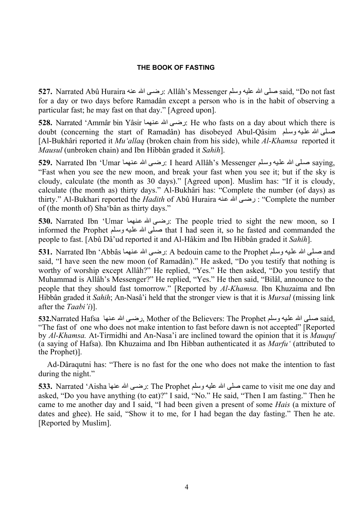### **THE BOOK OF FASTING**

**527.** Narrated Abû Huraira عنه االله ىѧرض: Allâh's Messenger وسلم عليه االله صلى said, "Do not fast for a day or two days before Ramadân except a person who is in the habit of observing a particular fast; he may fast on that day." [Agreed upon].

**528.** Narrated 'Ammâr bin Yâsir نرضي الله عنهما ): He who fasts on a day about which there is doubt (concerning the start of Ramadân) has disobeved Abul-Qâsim صلَّى الله عليه وسلَّم الله عليه وسلَّم [Al-Bukhâri reported it *Mu'allaq* (broken chain from his side), while *Al-Khamsa* reported it *Mausul* (unbroken chain) and Ibn Hibbân graded it *Sahih*].

529. Narrated Ibn 'Umar مسلى الله عليه وسلم I heard Allâh's Messenger صلى الله عليه وسلم على الله عليه وسلم "Fast when you see the new moon, and break your fast when you see it; but if the sky is cloudy, calculate (the month as 30 days)." [Agreed upon]. Muslim has: "If it is cloudy, calculate (the month as) thirty days." Al-Bukhâri has: "Complete the number (of days) as thirty." Al-Bukhari reported the *Hadith* of Abû Huraira نه عنه منه الله عنه : "Complete the number of (the month of) Sha'bân as thirty days."

**530.** Narrated Ibn 'Umar نرضى الله عنهما): The people tried to sight the new moon, so I informed the Prophet صلى الله عليه وسلم that I had seen it, so he fasted and commanded the people to fast. [Abû Dâ'ud reported it and Al-Hâkim and Ibn Hibbân graded it *Sahih*].

531. Narrated Ibn 'Abbâs مسلّى الله عنهما and نهما and الله عنهما and يوسلم عليه وسلم يه الله عنهما المصدم: A bedouin came to the Prophet said, "I have seen the new moon (of Ramadân)." He asked, "Do you testify that nothing is worthy of worship except Allâh?" He replied, "Yes." He then asked, "Do you testify that Muhammad is Allâh's Messenger?" He replied, "Yes." He then said, "Bilâl, announce to the people that they should fast tomorrow." [Reported by *Al-Khamsa.* Ibn Khuzaima and Ibn Hibbân graded it *Sahih*; An-Nasâ'i held that the stronger view is that it is *Mursal* (missing link after the *Taabi'i*)].

532.Narrated Hafsa نهام الله عنها معنها مع الله عنها معنها على الله عنها عنها له عنها وسلم عها وسلم ي said, "The fast of one who does not make intention to fast before dawn is not accepted" [Reported by *Al-Khamsa.* At-Tirmidhi and An-Nasa'i are inclined toward the opinion that it is *Mauquf*  (a saying of Hafsa). Ibn Khuzaima and Ibn Hibban authenticated it as *Marfu'* (attributed to the Prophet)].

Ad-Dâraqutni has: "There is no fast for the one who does not make the intention to fast during the night."

**533.** Narrated 'Aisha عنها الله عنها The Prophet وسلم: The Prophet وصلى الله عنها came to visit me one day and asked, "Do you have anything (to eat)?" I said, "No." He said, "Then I am fasting." Then he came to me another day and I said, "I had been given a present of some *Hais* (a mixture of dates and ghee). He said, "Show it to me, for I had began the day fasting." Then he ate. [Reported by Muslim].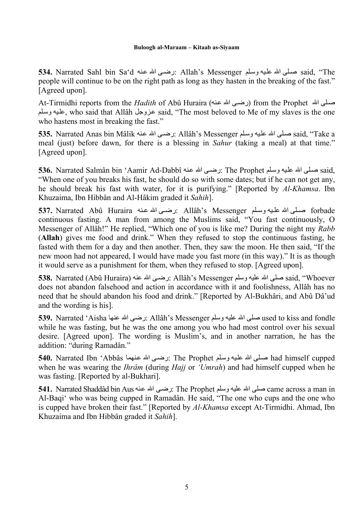**534.** Narrated Sahl bin Saʿd مسلمي الله عنه الله عنه الله عنه الله عنه said, "The people will continue to be on the right path as long as they hasten in the breaking of the fast." [Agreed upon].

At-Tirmidhi reports from the *Hadith* of Abû Huraira (رضي الله عنه) from the Prophet الرضوى الله م لمعلم, who said that Allâh عزوجل said, "The most beloved to Me of my slaves is the one who hastens most in breaking the fast."

535. Narrated Anas bin Mâlik عليه وسلم: Allâh's Messenger ارضي الله عنه عنه said, "Take a meal (just) before dawn, for there is a blessing in *Sahur* (taking a meal) at that time." [Agreed upon].

536. Narrated Salmân bin 'Aamir Ad-Dabbî نرضى الله عنه: The Prophet سماى الله عليه وسلم: 536 "When one of you breaks his fast, he should do so with some dates; but if he can not get any, he should break his fast with water, for it is purifying." [Reported by *Al-Khamsa*. Ibn Khuzaima, Ibn Hibbân and Al-Hâkim graded it *Sahih*].

 forbade صѧѧلى االله علѧѧيه وسѧѧلم Messenger s'Allâh :رضѧѧى االله عѧѧنه Huraira Abû Narrated **537.** continuous fasting. A man from among the Muslims said, "You fast continuously, O Messenger of Allâh!" He replied, "Which one of you is like me? During the night my *Rabb*  (**Allah**) gives me food and drink." When they refused to stop the continuous fasting, he fasted with them for a day and then another. Then, they saw the moon. He then said, "If the new moon had not appeared, I would have made you fast more (in this way)." It is as though it would serve as a punishment for them, when they refused to stop. [Agreed upon].

538. Narrated (Abû Huraira) ارضمن الله عنه الله عنه: Allâh's Messenger صلى الله عليه وسلم عليه وسلم عليه وسلم does not abandon falsehood and action in accordance with it and foolishness, Allâh has no need that he should abandon his food and drink." [Reported by Al-Bukhâri, and Abû Dâ'ud and the wording is his].

**539.** Narrated 'Aisha عنها االله رضى: Allâh's Messenger وسلم عليه االله صلى used to kiss and fondle while he was fasting, but he was the one among you who had most control over his sexual desire. [Agreed upon]. The wording is Muslim's, and in another narration, he has the addition: "during Ramadân."

**540.** Narrated Ibn 'Abbâs نهما الله عنهما الله عنهما معلى الله عنها الله عنها الله عنها الله عنها المعلى الله ع when he was wearing the *Ihrâm* (during *Hajj* or *'Umrah*) and had himself cupped when he was fasting. [Reported by al-Bukhari].

5**41.** Narrated Shaddâd bin Aus نه عنه The Prophet الرضمي الله عنه: The Prophet وسلم عليه وسلم عليه ا Al-Baqi' who was being cupped in Ramadân. He said, "The one who cups and the one who is cupped have broken their fast." [Reported by *Al-Khamsa* except At-Tirmidhi. Ahmad, Ibn Khuzaima and Ibn Hibbân graded it *Sahih*].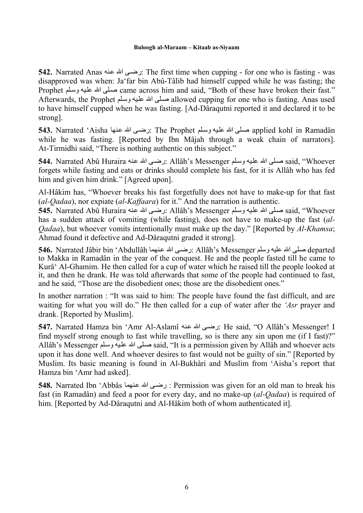**542.** Narrated Anas نه الله عنه: The first time when cupping - for one who is fasting - was disapproved was when: Ja'far bin Abû-Tâlib had himself cupped while he was fasting; the Prophet صلى الله عليه وسلم came across him and said, "Both of these have broken their fast." Afterwards, the Prophet صلى الله عليه وسلم allowed cupping for one who is fasting. Anas used to have himself cupped when he was fasting. [Ad-Dâraqutni reported it and declared it to be strong].

**543.** Narrated 'Aisha مسلّمى الله عليه وسلّم: The Prophet لله عنها applied kohl in Ramadân while he was fasting. [Reported by Ibn Mâjah through a weak chain of narrators]. At-Tirmidhi said, "There is nothing authentic on this subject."

544. Narrated Abû Huraira نرضي الله عنه: Allâh's Messenger صلى الله علماء said, "Whoever forgets while fasting and eats or drinks should complete his fast, for it is Allâh who has fed him and given him drink." [Agreed upon].

Al-Hâkim has, "Whoever breaks his fast forgetfully does not have to make-up for that fast (*al-Qadaa*), nor expiate (*al-Kaffaara*) for it." And the narration is authentic.

**545.** Narrated Abû Huraira مسلى الله عليه وسلم: Allâh's Messenger رضي الله عنه said, "Whoever has a sudden attack of vomiting (while fasting), does not have to make-up the fast (*al-Qadaa*), but whoever vomits intentionally must make up the day." [Reported by *Al-Khamsa*; Ahmad found it defective and Ad-Dâraqutni graded it strong].

**546.** Narrated Jâbir bin 'Abdullâh نهماѧع االله ىѧرض: Allâh's Messenger وسلم عليه االله صلى departed to Makka in Ramadân in the year of the conquest. He and the people fasted till he came to Kurâ' Al-Ghamim. He then called for a cup of water which he raised till the people looked at it, and then he drank. He was told afterwards that some of the people had continued to fast, and he said, "Those are the disobedient ones; those are the disobedient ones."

In another narration : "It was said to him: The people have found the fast difficult, and are waiting for what you will do." He then called for a cup of water after the *'Asr* prayer and drank. [Reported by Muslim].

**547.** Narrated Hamza bin 'Amr Al-Aslamî نه عنه: He said, "O Allâh's Messenger! I find myself strong enough to fast while travelling, so is there any sin upon me (if I fast)?" Allâh's Messenger لمملى الله عليه وسلم said, "It is a permission given by Allâh and whoever acts upon it has done well. And whoever desires to fast would not be guilty of sin." [Reported by Muslim. Its basic meaning is found in Al-Bukhâri and Muslim from 'Aisha's report that Hamza bin 'Amr had asked].

548. Narrated Ibn 'Abbâs نرضي الله عنهما : Permission was given for an old man to break his fast (in Ramadân) and feed a poor for every day, and no make-up (*al-Qadaa*) is required of him. [Reported by Ad-Dâraqutni and Al-Hâkim both of whom authenticated it].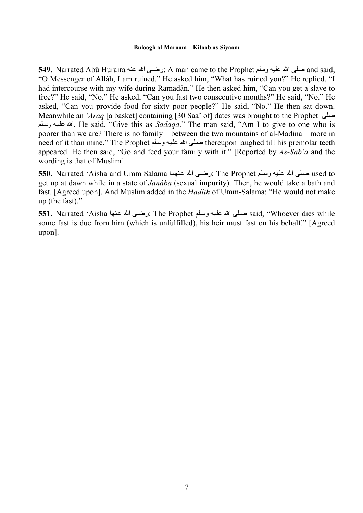**549.** Narrated Abû Huraira عنه االله ىѧرض: A man came to the Prophet وسلم عليه االله صلى and said, "O Messenger of Allâh, I am ruined." He asked him, "What has ruined you?" He replied, "I had intercourse with my wife during Ramadân." He then asked him, "Can you get a slave to free?" He said, "No." He asked, "Can you fast two consecutive months?" He said, "No." He asked, "Can you provide food for sixty poor people?" He said, "No." He then sat down. Meanwhile an *'Araq* [a basket] containing [30 Saa' of] dates was brought to the Prophet صلى لمѧوس يهѧعل االله. He said, "Give this as *Sadaqa*." The man said, "Am I to give to one who is poorer than we are? There is no family – between the two mountains of al-Madina – more in need of it than mine." The Prophet صلى الله عليه وسلم thereupon laughed till his premolar teeth appeared. He then said, "Go and feed your family with it." [Reported by *As-Sab'a* and the wording is that of Muslim].

5**50.** Narrated 'Aisha and Umm Salama نه عنهما The Prophet نهما used to اسلمي الله عليه وسلم على الله عليه وسلم get up at dawn while in a state of *Janâba* (sexual impurity). Then, he would take a bath and fast. [Agreed upon]. And Muslim added in the *Hadith* of Umm-Salama: "He would not make up (the fast)."

551. Narrated 'Aisha مصلى الله عليه وسلم: The Prophet رضتي الله عنها said, "Whoever dies while some fast is due from him (which is unfulfilled), his heir must fast on his behalf." [Agreed upon].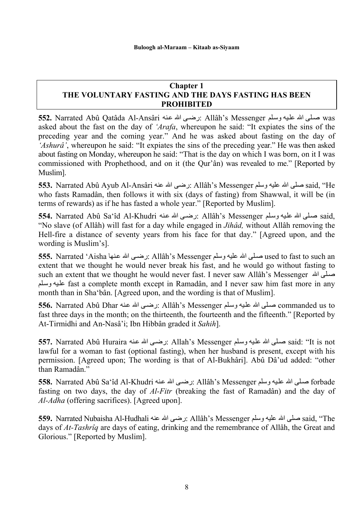### **Chapter 1 THE VOLUNTARY FASTING AND THE DAYS FASTING HAS BEEN PROHIBITED**

5**52.** Narrated Abû Qatâda Al-Ansâri لمنه الله عنه: Allâh's Messenger صلَّى الله عليه وسلَّم عليه وسلَّم asked about the fast on the day of *'Arafa*, whereupon he said: "It expiates the sins of the preceding year and the coming year." And he was asked about fasting on the day of *'Ashurâ'*, whereupon he said: "It expiates the sins of the preceding year." He was then asked about fasting on Monday, whereupon he said: "That is the day on which I was born, on it I was commissioned with Prophethood, and on it (the Qur'ân) was revealed to me." [Reported by Muslim].

**553.** Narrated Abû Ayub Al-Ansâri عنه االله رضى: Allâh's Messenger وسلم عليه االله صلى said, "He who fasts Ramadân, then follows it with six (days of fasting) from Shawwal, it will be (in terms of rewards) as if he has fasted a whole year." [Reported by Muslim].

5**54.** Narrated Abû Saʿîd Al-Khudri ارضي الله عنه: Allâh's Messenger صلى الله عليه وسلم: 4.55 "No slave (of Allâh) will fast for a day while engaged in *Jihâd,* without Allâh removing the Hell-fire a distance of seventy years from his face for that day." [Agreed upon, and the wording is Muslim's].

5**55.** Narrated 'Aisha مسلمي الله عليه وسلم Allâh's Messenger رضتي الله عنها عليه لى الله عنها used to fast to such an extent that we thought he would never break his fast, and he would go without fasting to such an extent that we thought he would never fast. I never saw Allâh's Messenger اسلى الله لمليه وسلم fast a complete month except in Ramadân, and I never saw him fast more in any month than in Sha'bân. [Agreed upon, and the wording is that of Muslim].

حملي الله عليه وسلم Allâh's Messenger نرضي الله عنه: Allâh's Messenger صلى الله عليه وسلم tommanded us to fast three days in the month; on the thirteenth, the fourteenth and the fifteenth." [Reported by At-Tirmidhi and An-Nasâ'i; Ibn Hibbân graded it *Sahih*].

**557.** Narrated Abû Huraira نرضي الله عنه: Allah's Messenger صلى الله عليه وسلم said: "It is not lawful for a woman to fast (optional fasting), when her husband is present, except with his permission. [Agreed upon; The wording is that of Al-Bukhâri]. Abû Dâ'ud added: "other than Ramadân."

5**58.** Narrated Abû Saʿîd Al-Khudri نرضي الله عنه الله علم: Allâh's Messenger صلى الله عليه وسلم ع fasting on two days, the day of *Al-Fitr* (breaking the fast of Ramadân) and the day of *Al-Adha* (offering sacrifices). [Agreed upon].

**559.** Narrated Nubaisha Al-Hudhali عنه االله رضى: Allâh's Messenger وسلم عليه االله صلى said, "The days of *At-Tashrîq* are days of eating, drinking and the remembrance of Allâh, the Great and Glorious." [Reported by Muslim].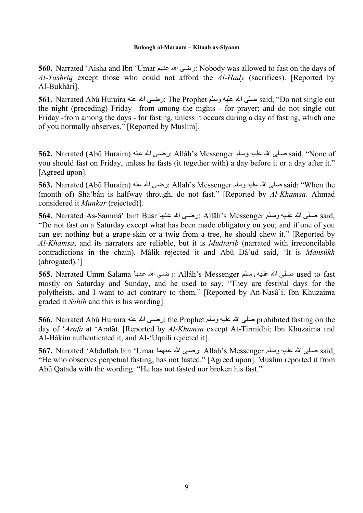**560.** Narrated 'Aisha and Ibn 'Umar عنهم االله رضى: Nobody was allowed to fast on the days of *At-Tashriq* except those who could not afford the *Al-Hady* (sacrifices). [Reported by Al-Bukhâri].

**561.** Narrated Abû Huraira عنه الله عنه: The Prophet وسلم عنه said, "Do not single out the night (preceding) Friday –from among the nights - for prayer; and do not single out Friday -from among the days - for fasting, unless it occurs during a day of fasting, which one of you normally observes." [Reported by Muslim].

5**62.** Narrated (Abû Huraira) نرضي الله عنه الله عنه: Allâh's Messenger صلى الله عليه وسلم ع $\mathrm{aid}, \mathrm{``None of}$ you should fast on Friday, unless he fasts (it together with) a day before it or a day after it." [Agreed upon].

**563.** Narrated (Abû Huraira) عنه االله رضى: Allah's Messenger وسلم عليه االله صلى said: "When the (month of) Sha'bân is halfway through, do not fast." [Reported by *Al-Khamsa*. Ahmad considered it *Munkar* (rejected)].

جمع الله عليه الله عليه وسلم Allâh's Messenger نرضي الله عنها said, كاه الله عليه الله عليه وسلم على الله عليه "Do not fast on a Saturday except what has been made obligatory on you; and if one of you can get nothing but a grape-skin or a twig from a tree, he should chew it." [Reported by *Al-Khamsa*, and its narrators are reliable, but it is *Mudtarib* (narrated with irreconcilable contradictions in the chain). Mâlik rejected it and Abû Dâ'ud said, 'It is *Mansûkh*  (abrogated).']

**565.** Narrated Umm Salama نهاѧع االله ىѧرض: Allâh's Messenger لمѧوس يهѧعل االله لىѧص used to fast mostly on Saturday and Sunday, and he used to say, "They are festival days for the polytheists, and I want to act contrary to them." [Reported by An-Nasâ'i. Ibn Khuzaima graded it *Sahih* and this is his wording].

**566.** Narrated Abû Huraira عنه االله ىѧرض: the Prophet وسلم عليه االله صلى prohibited fasting on the day of '*Arafa* at 'Arafât. [Reported by *Al-Khamsa* except At-Tirmidhi; Ibn Khuzaima and Al-Hâkim authenticated it, and Al-'Uqaili rejected it].

567. Narrated 'Abdullah bin 'Umar مصلَّى الله عنهما aid, نهم معلى الله عنها الله عنها الله عليه وسلّ "He who observes perpetual fasting, has not fasted." [Agreed upon]. Muslim reported it from Abû Qatada with the wording: "He has not fasted nor broken his fast."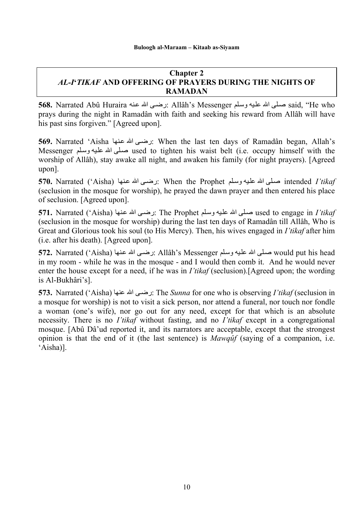### **Chapter 2**  *AL-I***'***TIKAF* **AND OFFERING OF PRAYERS DURING THE NIGHTS OF RAMADAN**

5**68.** Narrated Abû Huraira نه الله عنه الله عنه: Allâh's Messenger صلى الله عليه وسلم على الله عليه وسلم prays during the night in Ramadân with faith and seeking his reward from Allâh will have his past sins forgiven." [Agreed upon].

**569.** Narrated 'Aisha نرضى الله عنها: When the last ten days of Ramadân began, Allah's Messenger صلَّى الله عليه وسلَّع used to tighten his waist belt (i.e. occupy himself with the worship of Allâh), stay awake all night, and awaken his family (for night prayers). [Agreed upon].

**570.** Narrated ('Aisha) نهاѧع االله ىѧرض: When the Prophet لمѧوس يهѧعل االله لىѧص intended *I'tikaf*  (seclusion in the mosque for worship), he prayed the dawn prayer and then entered his place of seclusion. [Agreed upon].

**571.** Narrated ('Aisha) نهاѧع االله ىѧرض: The Prophet لمѧوس يهѧعل االله لىѧص used to engage in *I'tikaf*  (seclusion in the mosque for worship) during the last ten days of Ramadân till Allâh, Who is Great and Glorious took his soul (to His Mercy). Then, his wives engaged in *I'tikaf* after him (i.e. after his death). [Agreed upon].

572. Narrated ('Aisha) نهام الله عنها الله عنها الله عنها الله عنها would put his head in my room - while he was in the mosque - and I would then comb it. And he would never enter the house except for a need, if he was in *I'tikaf* (seclusion).[Agreed upon; the wording is Al-Bukhâri's].

**573.** Narrated ('Aisha) المنه عنها الله عنها الله عنها الله: The *Sunna* for one who is observing *I'tikaf* (seclusion in a mosque for worship) is not to visit a sick person, nor attend a funeral, nor touch nor fondle a woman (one's wife), nor go out for any need, except for that which is an absolute necessity. There is no *I'tikaf* without fasting, and no *I'tikaf* except in a congregational mosque. [Abû Dâ'ud reported it, and its narrators are acceptable, except that the strongest opinion is that the end of it (the last sentence) is *Mawqûf* (saying of a companion, i.e. 'Aisha)].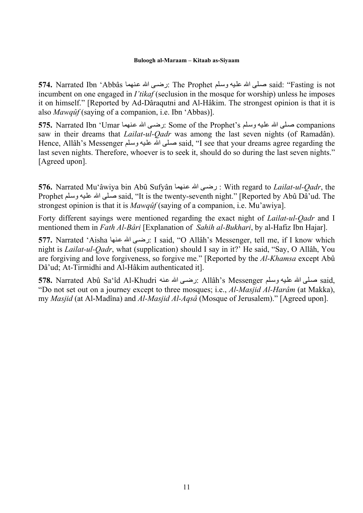**574.** Narrated Ibn 'Abbâs مصلَّى الله عليه وسلَّم The Prophet (نه عنهما said: "Fasting is not incumbent on one engaged in *I'tikaf* (seclusion in the mosque for worship) unless he imposes it on himself." [Reported by Ad-Dâraqutni and Al-Hâkim. The strongest opinion is that it is also *Mawqûf* (saying of a companion, i.e. Ibn 'Abbas)].

575. Narrated Ibn 'Umar مصلة الله عنهما Some of the Prophet's المصلَّم الله عنهما companions saw in their dreams that *Lailat-ul-Qadr* was among the last seven nights (of Ramadân). Hence, Allâh's Messenger صلى الله عليه وسلم said, "I see that your dreams agree regarding the last seven nights. Therefore, whoever is to seek it, should do so during the last seven nights." [Agreed upon].

**576.** Narrated Muʿâwiya bin Abû Sufyân نرضى الله عنهما : With regard to *Lailat-ul-Qadr*, the Prophet صلى الله عليه وسلم said, "It is the twenty-seventh night." [Reported by Abû Dâ'ud. The strongest opinion is that it is *Mawqûf* (saying of a companion, i.e. Mu'awiya].

Forty different sayings were mentioned regarding the exact night of *Lailat-ul-Qadr* and I mentioned them in *Fath Al-Bâri* [Explanation of *Sahih al-Bukhari*, by al-Hafiz Ibn Hajar].

**577.** Narrated 'Aisha نصفی الله عنها; I said, "O Allâh's Messenger, tell me, if I know which night is *Lailat-ul-Qadr*, what (supplication) should I say in it?' He said, "Say, O Allâh, You are forgiving and love forgiveness, so forgive me." [Reported by the *Al-Khamsa* except Abû Dâ'ud; At-Tirmidhi and Al-Hâkim authenticated it].

57**8.** Narrated Abû Sa'îd Al-Khudri نرضي الله عنه: Allâh's Messenger صلى الله عليه وسلم على الله عليه وسلم "Do not set out on a journey except to three mosques; i.e., *Al-Masjid Al-Harâm* (at Makka), my *Masjid* (at Al-Madîna) and *Al-Masjid Al-Aqsâ* (Mosque of Jerusalem)." [Agreed upon].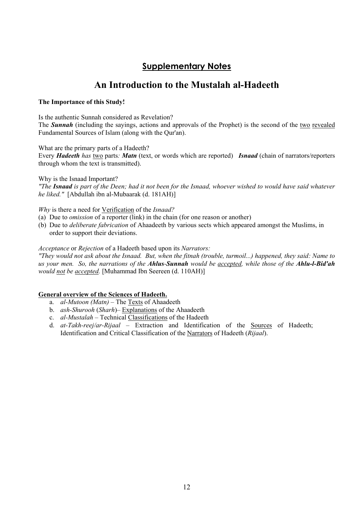# **Supplementary Notes**

# **An Introduction to the Mustalah al-Hadeeth**

#### **The Importance of this Study!**

Is the authentic Sunnah considered as Revelation?

The *Sunnah* (including the sayings, actions and approvals of the Prophet) is the second of the two revealed Fundamental Sources of Islam (along with the Qur'an).

What are the primary parts of a Hadeeth?

Every *Hadeeth has* two parts*: Matn* (text, or words which are reported) *Isnaad* (chain of narrators/reporters through whom the text is transmitted).

Why is the Isnaad Important?

*"The Isnaad is part of the Deen; had it not been for the Isnaad, whoever wished to would have said whatever he liked."* [Abdullah ibn al-Mubaarak (d. 181AH)]

*Why* is there a need for Verification of the *Isnaad?*

- (a) Due to *omission* of a reporter (link) in the chain (for one reason or another)
- (b) Due to *deliberate fabrication* of Ahaadeeth by various sects which appeared amongst the Muslims, in order to support their deviations.

#### *Acceptance* or *Rejection* of a Hadeeth based upon its *Narrators:*

*"They would not ask about the Isnaad. But, when the fitnah (trouble, turmoil...) happened, they said: Name to us your men. So, the narrations of the Ahlus-Sunnah would be accepted, while those of the Ahlu-l-Bid'ah would not be accepted.* [Muhammad Ibn Seereen (d. 110AH)]

#### **General overview of the Sciences of Hadeeth.**

- a. *al-Mutoon (Matn)* The Texts of Ahaadeeth
- b. *ash-Shurooh* (*Sharh*)– Explanations of the Ahaadeeth
- c. *al-Mustalah* Technical Classifications of the Hadeeth
- d. *at-Takh-reej/ar-Rijaal* Extraction and Identification of the Sources of Hadeeth; Identification and Critical Classification of the Narrators of Hadeeth (*Rijaal*).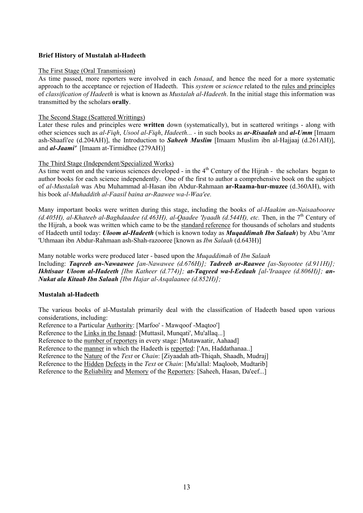#### **Brief History of Mustalah al-Hadeeth**

#### The First Stage (Oral Transmission)

As time passed, more reporters were involved in each *Isnaad*, and hence the need for a more systematic approach to the acceptance or rejection of Hadeeth. This *system* or *science* related to the rules and principles of *classification of Hadeeth* is what is known as *Mustalah al-Hadeeth*. In the initial stage this information was transmitted by the scholars **orally**.

#### The Second Stage (Scattered Writtings)

Later these rules and principles were **written** down (systematically), but in scattered writings - along with other sciences such as *al-Fiqh*, *Usool al-Fiqh*, *Hadeeth... -* in such books as *ar-Risaalah* and *al-Umm* [Imaam ash-Shaafi'ee (d.204AH)], the Introduction to *Saheeh Muslim* [Imaam Muslim ibn al-Hajjaaj (d.261AH)], and *al-Jaami'* [Imaam at-Tirmidhee (279AH)]

#### The Third Stage (Independent/Specialized Works)

As time went on and the various sciences developed - in the  $4<sup>th</sup>$  Century of the Hijrah - the scholars began to author books for each science independently. One of the first to author a comprehensive book on the subject of *al-Mustalah* was Abu Muhammad al-Hasan ibn Abdur-Rahmaan **ar-Raama-hur-muzee** (d.360AH), with his book *al-Muhaddith al-Faasil baina ar-Raawee wa-l-Waa'ee.* 

Many important books were written during this stage, including the books of *al-Haakim an-Naisaabooree*  (d.405H), al-Khateeb al-Baghdaadee (d.463H), al-Qaadee 'Iyaadh (d.544H), etc. Then, in the 7<sup>th</sup> Century of the Hijrah, a book was written which came to be the standard reference for thousands of scholars and students of Hadeeth until today: *Uloom al-Hadeeth* (which is known today as *Muqaddimah Ibn Salaah*) by Abu 'Amr 'Uthmaan ibn Abdur-Rahmaan ash-Shah-razooree [known as *Ibn Salaah* (d.643H)]

Many notable works were produced later - based upon the *Muqaddimah* of *Ibn Salaah*  Including: *Taqreeb an-Nawaawee [an-Nawawee (d.676H)]; Tadreeb ar-Raawee [as-Suyootee (d.911H)]; Ikhtisaar Uloom al-Hadeeth [Ibn Katheer (d.774)]; at-Taqyeed wa-l-Eedaah [al-'Iraaqee (d.806H)]; an-Nukat ala Kitaab Ibn Salaah [Ibn Hajar al-Asqalaanee (d.852H)];* 

#### **Mustalah al-Hadeeth**

The various books of al-Mustalah primarily deal with the classification of Hadeeth based upon various considerations, including:

Reference to a Particular Authority: [Marfoo' - Mawqoof -Maqtoo']

Reference to the Links in the Isnaad: [Muttasil, Munqati', Mu'allaq...]

Reference to the number of reporters in every stage: [Mutawaatir, Aahaad]

Reference to the manner in which the Hadeeth is reported: ['An, Haddathanaa..]

Reference to the Nature of the *Text* or *Chain*: [Ziyaadah ath-Thiqah, Shaadh, Mudraj]

Reference to the Hidden Defects in the *Text* or *Chain*: [Mu'allal: Maqloob, Mudtarib]

Reference to the Reliability and Memory of the Reporters: [Saheeh, Hasan, Da'eef...]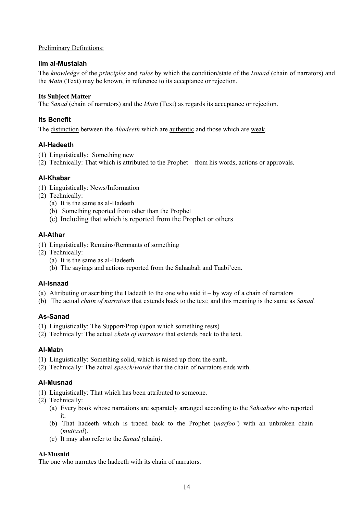#### Preliminary Definitions:

#### **Ilm al-Mustalah**

The *knowledge* of the *principles* and *rules* by which the condition/state of the *Isnaad* (chain of narrators) and the *Matn* (Text) may be known, in reference to its acceptance or rejection.

#### **Its Subject Matter**

The *Sanad* (chain of narrators) and the *Matn* (Text) as regards its acceptance or rejection.

### **Its Benefit**

The distinction between the *Ahadeeth* which are authentic and those which are weak.

### **Al-Hadeeth**

- (1) Linguistically: Something new
- (2) Technically: That which is attributed to the Prophet from his words, actions or approvals.

### **Al-Khabar**

- (1) Linguistically: News/Information
- (2) Technically:
	- (a) It is the same as al-Hadeeth
	- (b) Something reported from other than the Prophet
	- (c) Including that which is reported from the Prophet or others

### **Al-Athar**

- (1) Linguistically: Remains/Remnants of something
- (2) Technically:
	- (a) It is the same as al-Hadeeth
	- (b) The sayings and actions reported from the Sahaabah and Taabi'een.

### **Al-Isnaad**

- (a) Attributing or ascribing the Hadeeth to the one who said it by way of a chain of narrators
- (b) The actual *chain of narrators* that extends back to the text; and this meaning is the same as *Sanad.*

### **As-Sanad**

- (1) Linguistically: The Support/Prop (upon which something rests)
- (2) Technically: The actual *chain of narrators* that extends back to the text.

### **Al-Matn**

- (1) Linguistically: Something solid, which is raised up from the earth.
- (2) Technically: The actual *speech*/*words* that the chain of narrators ends with.

### **Al-Musnad**

- (1) Linguistically: That which has been attributed to someone.
- (2) Technically:
	- (a) Every book whose narrations are separately arranged according to the *Sahaabee* who reported it.
	- (b) That hadeeth which is traced back to the Prophet (*marfoo'*) with an unbroken chain (*muttasil*).
	- (c) It may also refer to the *Sanad (*chain*)*.

#### **Al-Musnid**

The one who narrates the hadeeth with its chain of narrators.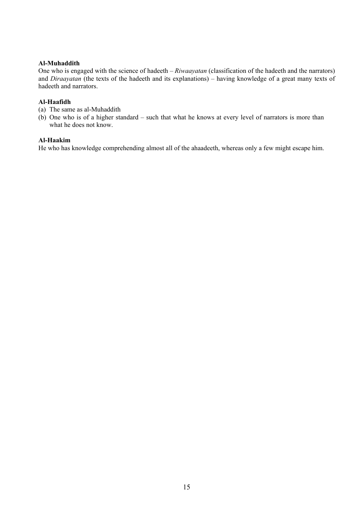#### **Al-Muhaddith**

One who is engaged with the science of hadeeth – *Riwaayatan* (classification of the hadeeth and the narrators) and *Diraayatan* (the texts of the hadeeth and its explanations) – having knowledge of a great many texts of hadeeth and narrators.

### **Al-Haafidh**

- (a) The same as al-Muhaddith
- (b) One who is of a higher standard such that what he knows at every level of narrators is more than what he does not know.

#### **Al-Haakim**

He who has knowledge comprehending almost all of the ahaadeeth, whereas only a few might escape him.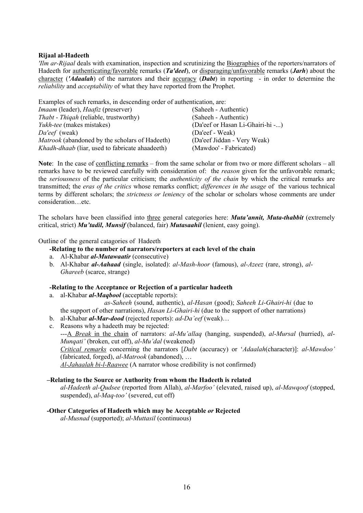#### **Rijaal al-Hadeeth**

*'Ilm ar-Rijaal* deals with examination, inspection and scrutinizing the Biographies of the reporters/narrators of Hadeeth for authenticating/favorable remarks (*Ta'deel*), or disparaging/unfavorable remarks (*Jarh*) about the character (*'Adaalah*) of the narrators and their accuracy (*Dabt*) in reporting - in order to determine the *reliability* and *acceptability* of what they have reported from the Prophet.

Examples of such remarks, in descending order of authentication, are: *Imaam* (leader), *Haafiz* (preserver) (Saheeh - Authentic) *Thabt* - *Thiqah* (reliable, trustworthy) (Saheeh - Authentic) *Yukh*-*tee* (makes mistakes) (Da'eef or Hasan Li-Ghairi-hi -...) *Da'eef* (weak) (Da'eef - Weak) *Matrook* (abandoned by the scholars of Hadeeth) (Da'eef Jiddan - Very Weak) *Khadh*-*dhaab* (liar, used to fabricate ahaadeeth) (Mawdoo' - Fabricated)

**Note**: In the case of conflicting remarks – from the same scholar or from two or more different scholars – all remarks have to be reviewed carefully with consideration of: the *reason* given for the unfavorable remark; the *seriousness* of the particular criticism; the *authenticity of the chain* by which the critical remarks are transmitted; the *eras of the critics* whose remarks conflict; *differences in the usage* of the various technical terms by different scholars; the *strictness or leniency* of the scholar or scholars whose comments are under consideration…etc.

The scholars have been classified into three general categories here: *Muta'annit, Muta-thabbit* (extremely critical, strict) *Mu'tadil, Munsif* (balanced, fair) *Mutasaahil* (lenient, easy going).

Outline of the general catagories of Hadeeth

#### **-Relating to the number of narrators/reporters at each level of the chain**

- a. Al-Khabar *al-Mutawaatir* (consecutive)
- b. Al-Khabar *al-Aahaad* (single, isolated): *al-Mash-hoor* (famous), *al-Azeez* (rare, strong), *al-Ghareeb* (scarce, strange)

#### **-Relating to the Acceptance or Rejection of a particular hadeeth**

a. al-Khabar *al-Maqbool* (acceptable reports):

 *as-Saheeh* (sound, authentic), *al*-*Hasan* (good); *Saheeh Li*-*Ghairi*-*hi* (due to the support of other narrations), *Hasan Li-Ghairi-hi* (due to the support of other narrations)

- b. al-Khabar *al-Mar-dood* (rejected reports): *ad-Da'eef* (weak)…
- c. Reasons why a hadeeth may be rejected:

---A *Break* in the chain of narrators: *al-Mu'allaq* (hanging, suspended), *al*-*Mursal* (hurried), *al*-*Munqati'* (broken, cut off), *al*-*Mu'dal* (weakened)

*Critical remarks* concerning the narrators [*Dabt* (accuracy) or '*Adaalah*(character)]: *al*-*Mawdoo'* (fabricated, forged), *al*-*Matrook* (abandoned), …

*Al-Jahaalah bi-l-Raawee* (A narrator whose credibility is not confirmed)

#### **–Relating to the Source or Authority from whom the Hadeeth is related**

*al-Hadeeth al-Qudsee* (reported from Allah), *al-Marfoo'* (elevated, raised up), *al-Mawqoof* (stopped, suspended), *al-Maq-too'* (severed, cut off)

#### **-Other Categories of Hadeeth which may be Acceptable** *or* **Rejected**

*al-Musnad* (supported); *al-Muttasil* (continuous)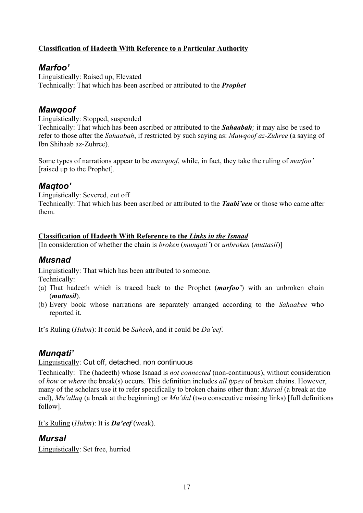### **Classification of Hadeeth With Reference to a Particular Authority**

### *Marfoo'*

Linguistically: Raised up, Elevated Technically: That which has been ascribed or attributed to the *Prophet*

### *Mawqoof*

Linguistically: Stopped, suspended

Technically: That which has been ascribed or attributed to the *Sahaabah;* it may also be used to refer to those after the *Sahaabah*, if restricted by such saying as: *Mawqoof az*-*Zuhree* (a saying of Ibn Shihaab az-Zuhree).

Some types of narrations appear to be *mawqoof*, while, in fact, they take the ruling of *marfoo'* [raised up to the Prophet].

# *Maqtoo'*

Linguistically: Severed, cut off Technically: That which has been ascribed or attributed to the *Taabi'een* or those who came after them.

### **Classification of Hadeeth With Reference to the** *Links in the Isnaad*

[In consideration of whether the chain is *broken* (*munqati'*) or *unbroken* (*muttasil*)]

# *Musnad*

Linguistically: That which has been attributed to someone.

Technically:

- (a) That hadeeth which is traced back to the Prophet (*marfoo'*) with an unbroken chain (*muttasil*).
- (b) Every book whose narrations are separately arranged according to the *Sahaabee* who reported it.

It's Ruling (*Hukm*): It could be *Saheeh*, and it could be *Da'eef*.

# *Munqati'*

### Linguistically: Cut off, detached, non continuous

Technically: The (hadeeth) whose Isnaad is *not connected* (non-continuous), without consideration of *how* or *where* the break(s) occurs. This definition includes *all types* of broken chains. However, many of the scholars use it to refer specifically to broken chains other than: *Mursal* (a break at the end), *Mu'allaq* (a break at the beginning) or *Mu'dal* (two consecutive missing links) [full definitions follow].

It's Ruling (*Hukm*): It is *Da'eef* (weak).

# *Mursal*

Linguistically: Set free, hurried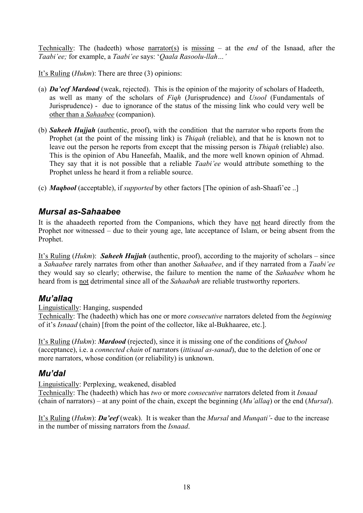Technically: The (hadeeth) whose narrator(s) is missing – at the *end* of the Isnaad, after the *Taabi'ee;* for example, a *Taabi'ee* says: '*Qaala Rasoolu-llah…'* 

It's Ruling (*Hukm*): There are three (3) opinions:

- (a) *Da'eef Mardood* (weak, rejected). This is the opinion of the majority of scholars of Hadeeth, as well as many of the scholars of *Fiqh* (Jurisprudence) and *Usool* (Fundamentals of Jurisprudence) - due to ignorance of the status of the missing link who could very well be other than a *Sahaabee* (companion).
- (b) *Saheeh Hujjah* (authentic, proof), with the condition that the narrator who reports from the Prophet (at the point of the missing link) is *Thiqah* (reliable), and that he is known not to leave out the person he reports from except that the missing person is *Thiqah* (reliable) also. This is the opinion of Abu Haneefah, Maalik, and the more well known opinion of Ahmad. They say that it is not possible that a reliable *Taabi'ee* would attribute something to the Prophet unless he heard it from a reliable source.
- (c) *Maqbool* (acceptable), if *supported* by other factors [The opinion of ash-Shaafi'ee ..]

# *Mursal as-Sahaabee*

It is the ahaadeeth reported from the Companions, which they have not heard directly from the Prophet nor witnessed – due to their young age, late acceptance of Islam, or being absent from the Prophet.

It's Ruling (*Hukm*): *Saheeh Hujjah* (authentic, proof), according to the majority of scholars – since a *Sahaabee* rarely narrates from other than another *Sahaabee*, and if they narrated from a *Taabi'ee* they would say so clearly; otherwise, the failure to mention the name of the *Sahaabee* whom he heard from is not detrimental since all of the *Sahaabah* are reliable trustworthy reporters.

### *Mu'allaq*

Linguistically: Hanging, suspended

Technically: The (hadeeth) which has one or more *consecutive* narrators deleted from the *beginning* of it's *Isnaad* (chain) [from the point of the collector, like al-Bukhaaree, etc.].

It's Ruling (*Hukm*): *Mardood* (rejected), since it is missing one of the conditions of *Qubool* (acceptance), i.e. a *connected chain* of narrators (*ittisaal as-sanad*), due to the deletion of one or more narrators, whose condition (or reliability) is unknown.

# *Mu'dal*

Linguistically: Perplexing, weakened, disabled

Technically: The (hadeeth) which has *two* or more *consecutive* narrators deleted from it *Isnaad* (chain of narrators) – at any point of the chain, except the beginning (*Mu'allaq*) or the end (*Mursal*).

It's Ruling (*Hukm*): *Da'eef* (weak). It is weaker than the *Mursal* and *Munqati'*- due to the increase in the number of missing narrators from the *Isnaad*.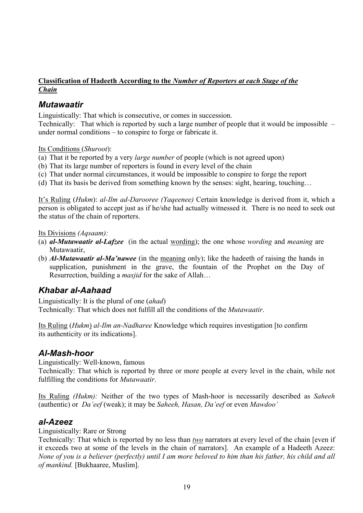### **Classification of Hadeeth According to the** *Number of Reporters at each Stage of the Chain*

### *Mutawaatir*

Linguistically: That which is consecutive, or comes in succession.

Technically: That which is reported by such a large number of people that it would be impossible – under normal conditions – to conspire to forge or fabricate it.

Its Conditions (*Shuroot*):

(a) That it be reported by a very *large number* of people (which is not agreed upon)

- (b) That its large number of reporters is found in every level of the chain
- (c) That under normal circumstances, it would be impossible to conspire to forge the report

(d) That its basis be derived from something known by the senses: sight, hearing, touching…

It's Ruling (*Hukm*): *al-Ilm ad-Darooree (Yaqeenee)* Certain knowledge is derived from it, which a person is obligated to accept just as if he/she had actually witnessed it. There is no need to seek out the status of the chain of reporters.

Its Divisions *(Aqsaam):* 

- (a) *al-Mutawaatir al-Lafzee* (in the actual wording); the one whose *wording* and *meaning* are Mutawaatir,
- (b) *Al-Mutawaatir al-Ma'nawee* (in the meaning only); like the hadeeth of raising the hands in supplication, punishment in the grave, the fountain of the Prophet on the Day of Resurrection, building a *masjid* for the sake of Allah…

# *Khabar al-Aahaad*

Linguistically: It is the plural of one (*ahad*) Technically: That which does not fulfill all the conditions of the *Mutawaatir*.

Its Ruling (*Hukm*) *al-Ilm an-Nadharee* Knowledge which requires investigation [to confirm its authenticity or its indications].

### *Al-Mash-hoor*

Linguistically: Well-known, famous

Technically: That which is reported by three or more people at every level in the chain, while not fulfilling the conditions for *Mutawaatir*.

Its Ruling *(Hukm):* Neither of the two types of Mash-hoor is necessarily described as *Saheeh* (authentic) or *Da'eef* (weak); it may be *Saheeh, Hasan, Da'eef* or even *Mawdoo'*

### *al-Azeez*

Linguistically: Rare or Strong

Technically: That which is reported by no less than *two* narrators at every level of the chain [even if it exceeds two at some of the levels in the chain of narrators]. An example of a Hadeeth Azeez: *None of you is a believer (perfectly) until I am more beloved to him than his father, his child and all of mankind.* [Bukhaaree, Muslim].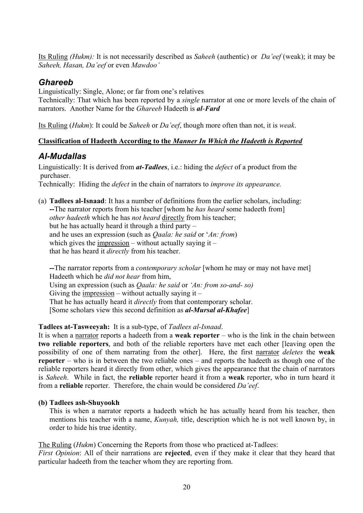Its Ruling *(Hukm):* It is not necessarily described as *Saheeh* (authentic) or *Da'eef* (weak); it may be *Saheeh, Hasan, Da'eef* or even *Mawdoo'* 

# *Ghareeb*

Linguistically: Single, Alone; or far from one's relatives

Technically: That which has been reported by a *single* narrator at one or more levels of the chain of narrators. Another Name for the *Ghareeb* Hadeeth is *al*-*Fard* 

Its Ruling (*Hukm*): It could be *Saheeh* or *Da'eef*, though more often than not, it is *weak*.

### **Classification of Hadeeth According to the** *Manner In Which the Hadeeth is Reported*

# *Al-Mudallas*

Linguistically: It is derived from *at-Tadlees*, i.e.: hiding the *defect* of a product from the purchaser.

Technically: Hiding the *defect* in the chain of narrators to *improve its appearance.*

(a) **Tadlees al-Isnaad**: It has a number of definitions from the earlier scholars, including: **--**The narrator reports from his teacher [whom he *has heard* some hadeeth from] *other hadeeth* which he has *not heard* directly from his teacher; but he has actually heard it through a third party – and he uses an expression (such as *Qaala: he said* or '*An: from*) which gives the impression – without actually saying it – that he has heard it *directly* from his teacher.

**--**The narrator reports from a *contemporary scholar* [whom he may or may not have met] Hadeeth which he *did not hear* from him, Using an expression (such as *Qaala: he said* or *'An: from so-and- so)* Giving the impression – without actually saying it – That he has actually heard it *directly* from that contemporary scholar. [Some scholars view this second definition as *al-Mursal al-Khafee*]

### **Tadlees at-Tasweeyah:** It is a sub-type, of *Tadlees al-Isnaad*.

It is when a narrator reports a hadeeth from a **weak reporter** – who is the link in the chain between **two reliable reporters**, and both of the reliable reporters have met each other [leaving open the possibility of one of them narrating from the other]. Here, the first narrator *deletes* the **weak reporter** – who is in between the two reliable ones – and reports the hadeeth as though one of the reliable reporters heard it directly from other, which gives the appearance that the chain of narrators is *Saheeh*. While in fact, the **reliable** reporter heard it from a **weak** reporter, who in turn heard it from a **reliable** reporter. Therefore, the chain would be considered *Da'eef*.

### **(b) Tadlees ash-Shuyookh**

This is when a narrator reports a hadeeth which he has actually heard from his teacher, then mentions his teacher with a name, *Kunyah,* title, description which he is not well known by, in order to hide his true identity.

The Ruling (*Hukm*) Concerning the Reports from those who practiced at-Tadlees:

*First Opinion*: All of their narrations are **rejected**, even if they make it clear that they heard that particular hadeeth from the teacher whom they are reporting from.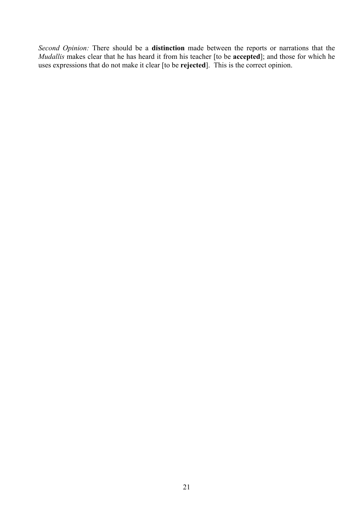*Second Opinion:* There should be a **distinction** made between the reports or narrations that the *Mudallis* makes clear that he has heard it from his teacher [to be **accepted**]; and those for which he uses expressions that do not make it clear [to be **rejected**]. This is the correct opinion.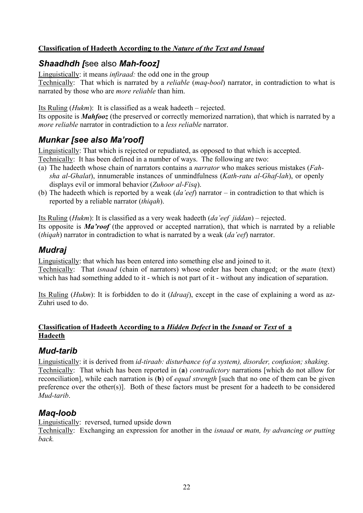### **Classification of Hadeeth According to the** *Nature of the Text and Isnaad*

# *Shaadhdh [*see also *Mah-fooz]*

Linguistically: it means *infiraad:* the odd one in the group

Technically: That which is narrated by a *reliable* (*maq*-*bool*) narrator, in contradiction to what is narrated by those who are *more reliable* than him.

Its Ruling (*Hukm*): It is classified as a weak hadeeth – rejected.

Its opposite is *Mahfooz* (the preserved or correctly memorized narration), that which is narrated by a *more reliable* narrator in contradiction to a *less reliable* narrator.

# *Munkar [see also Ma'roof]*

Linguistically: That which is rejected or repudiated, as opposed to that which is accepted. Technically: It has been defined in a number of ways. The following are two:

- (a) The hadeeth whose chain of narrators contains a *narrator* who makes serious mistakes (*Fahsha al-Ghalat*), innumerable instances of unmindfulness (*Kath-ratu al-Ghaf-lah*), or openly displays evil or immoral behavior (*Zuhoor al-Fisq*).
- (b) The hadeeth which is reported by a weak (*da'eef*) narrator in contradiction to that which is reported by a reliable narrator (*thiqah*).

Its Ruling (*Hukm*): It is classified as a very weak hadeeth (*da'eef jiddan*) – rejected.

Its opposite is *Ma'roof* (the approved or accepted narration), that which is narrated by a reliable (*thiqah*) narrator in contradiction to what is narrated by a weak (*da'eef*) narrator.

# *Mudraj*

Linguistically: that which has been entered into something else and joined to it.

Technically: That *isnaad* (chain of narrators) whose order has been changed; or the *matn* (text) which has had something added to it - which is not part of it - without any indication of separation.

Its Ruling (*Hukm*): It is forbidden to do it (*Idraaj*), except in the case of explaining a word as az-Zuhri used to do.

### **Classification of Hadeeth According to a** *Hidden Defect* **in the** *Isnaad* **or** *Text* **of a Hadeeth**

### *Mud-tarib*

Linguistically: it is derived from *id-tiraab: disturbance (of a system), disorder, confusion; shaking*. Technically: That which has been reported in (**a**) *contradictory* narrations [which do not allow for reconciliation], while each narration is (**b**) of *equal strength* [such that no one of them can be given preference over the other(s)]. Both of these factors must be present for a hadeeth to be considered *Mud-tarib*.

# *Maq-loob*

Linguistically: reversed, turned upside down

Technically: Exchanging an expression for another in the *isnaad* or *matn, by advancing or putting back.*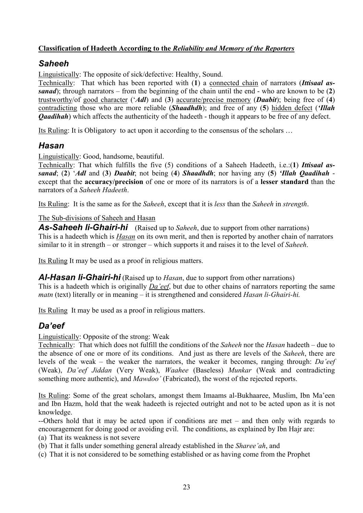### **Classification of Hadeeth According to the** *Reliability and Memory of the Reporters*

# *Saheeh*

Linguistically: The opposite of sick/defective: Healthy, Sound.

Technically: That which has been reported with (**1**) a connected chain of narrators (*Ittisaal assanad*); through narrators – from the beginning of the chain until the end - who are known to be (**2**) trustworthy/of good character ('*Adl*) and (**3**) accurate/precise memory (*Daabit*); being free of (**4**) contradicting those who are more reliable (*Shaadhdh*); and free of any (**5**) hidden defect (*'Illah Qaadihah*) which affects the authenticity of the hadeeth - though it appears to be free of any defect.

Its Ruling: It is Obligatory to act upon it according to the consensus of the scholars …

### *Hasan*

Linguistically: Good, handsome, beautiful.

Technically: That which fulfills the five (5) conditions of a Saheeh Hadeeth, i.e.:(**1**) *Ittisaal assanad*; (**2**) '*Adl* and (**3**) *Daabit*; not being (**4**) *Shaadhdh*; nor having any (**5**) *'Illah Qaadihah* except that the **accuracy/precision** of one or more of its narrators is of a **lesser standard** than the narrators of a *Saheeh Hadeeth*.

Its Ruling: It is the same as for the *Saheeh*, except that it is *less* than the *Saheeh* in *strength*.

### The Sub-divisions of Saheeh and Hasan

*As-Saheeh li-Ghairi-hi* (Raised up to *Saheeh*, due to support from other narrations) This is a hadeeth which is *Hasan* on its own merit, and then is reported by another chain of narrators similar to it in strength – or stronger – which supports it and raises it to the level of *Saheeh*.

Its Ruling It may be used as a proof in religious matters.

*Al-Hasan li-Ghairi-hi* (Raised up to *Hasan*, due to support from other narrations) This is a hadeeth which is originally *Da'eef*, but due to other chains of narrators reporting the same *matn* (text) literally or in meaning – it is strengthened and considered *Hasan li-Ghairi-hi.* 

Its Ruling It may be used as a proof in religious matters.

# *Da'eef*

Linguistically: Opposite of the strong: Weak

Technically: That which does not fulfill the conditions of the *Saheeh* nor the *Hasan* hadeeth – due to the absence of one or more of its conditions. And just as there are levels of the *Saheeh*, there are levels of the weak – the weaker the narrators, the weaker it becomes, ranging through: *Da'eef* (Weak), *Da'eef Jiddan* (Very Weak), *Waahee* (Baseless) *Munkar* (Weak and contradicting something more authentic), and *Mawdoo'* (Fabricated), the worst of the rejected reports.

Its Ruling: Some of the great scholars, amongst them Imaams al-Bukhaaree, Muslim, Ibn Ma'een and Ibn Hazm, hold that the weak hadeeth is rejected outright and not to be acted upon as it is not knowledge.

--Others hold that it may be acted upon if conditions are met – and then only with regards to encouragement for doing good or avoiding evil. The conditions, as explained by Ibn Hajr are:

(a) That its weakness is not severe

(b) That it falls under something general already established in the *Sharee'ah*, and

(c) That it is not considered to be something established or as having come from the Prophet